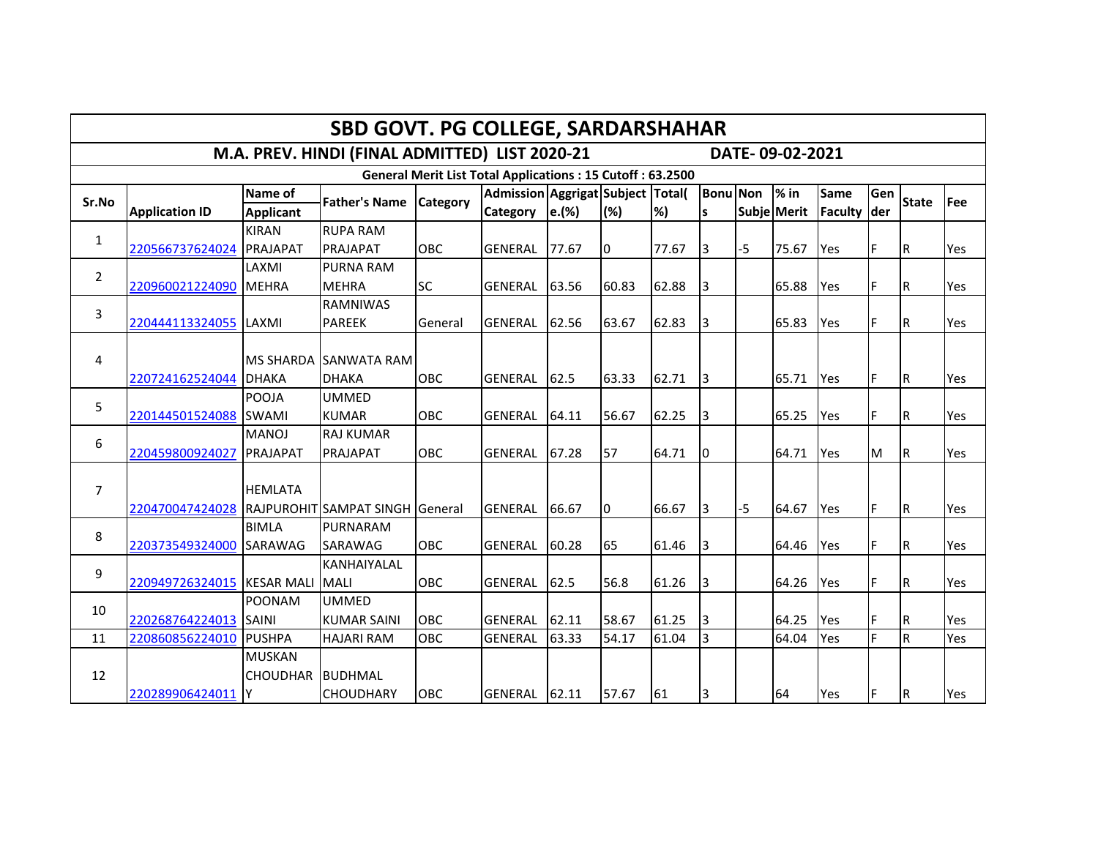|                |                                                                                                       |                  | <b>SBD GOVT. PG COLLEGE, SARDARSHAHAR</b> |            |                |       |       |       |                 |      |             |             |     |                         |     |
|----------------|-------------------------------------------------------------------------------------------------------|------------------|-------------------------------------------|------------|----------------|-------|-------|-------|-----------------|------|-------------|-------------|-----|-------------------------|-----|
|                | M.A. PREV. HINDI (FINAL ADMITTED) LIST 2020-21<br>DATE-09-02-2021                                     |                  |                                           |            |                |       |       |       |                 |      |             |             |     |                         |     |
|                | <b>General Merit List Total Applications: 15 Cutoff: 63.2500</b><br>Admission Aggrigat Subject Total( |                  |                                           |            |                |       |       |       |                 |      |             |             |     |                         |     |
| Sr.No          |                                                                                                       | Name of          | <b>Father's Name</b>                      | Category   |                |       |       |       | <b>Bonu</b> Non |      | $%$ in      | <b>Same</b> | Gen | <b>State</b>            | Fee |
|                | <b>Application ID</b>                                                                                 | <b>Applicant</b> |                                           |            | Category       | e.(%) | (%)   | %)    | s               |      | Subje Merit | Faculty     | der |                         |     |
| $\mathbf{1}$   |                                                                                                       | <b>KIRAN</b>     | <b>RUPA RAM</b>                           |            |                |       |       |       |                 |      |             |             |     |                         |     |
|                | 220566737624024                                                                                       | PRAJAPAT         | <b>PRAJAPAT</b>                           | OBC        | GENERAL        | 77.67 | 10    | 77.67 | Iз              | $-5$ | 75.67       | Yes         | F.  | R,                      | Yes |
| $\overline{2}$ |                                                                                                       | LAXMI            | <b>PURNA RAM</b>                          |            |                |       |       |       |                 |      |             |             |     |                         |     |
|                | 220960021224090                                                                                       | <b>MEHRA</b>     | <b>MEHRA</b>                              | <b>SC</b>  | GENERAL        | 63.56 | 60.83 | 62.88 | 3               |      | 65.88       | Yes         | F.  | R,                      | Yes |
| 3              |                                                                                                       |                  | <b>RAMNIWAS</b>                           |            |                |       |       |       |                 |      |             |             |     |                         |     |
|                | 220444113324055                                                                                       | <b>LAXMI</b>     | <b>PAREEK</b>                             | General    | <b>GENERAL</b> | 62.56 | 63.67 | 62.83 | 3               |      | 65.83       | Yes         | F.  | R                       | Yes |
|                |                                                                                                       |                  |                                           |            |                |       |       |       |                 |      |             |             |     |                         |     |
| 4              |                                                                                                       | <b>MS SHARDA</b> | <b>SANWATA RAM</b>                        |            |                |       |       |       |                 |      |             |             |     |                         |     |
|                | 220724162524044 DHAKA                                                                                 |                  | <b>DHAKA</b>                              | OBC        | GENERAL        | 62.5  | 63.33 | 62.71 | 13              |      | 65.71       | Yes         | F   | R,                      | Yes |
| 5              |                                                                                                       | POOJA            | <b>UMMED</b>                              |            |                |       |       |       |                 |      |             |             |     |                         |     |
|                | 220144501524088                                                                                       | <b>SWAMI</b>     | <b>KUMAR</b>                              | OBC        | <b>GENERAL</b> | 64.11 | 56.67 | 62.25 | 3               |      | 65.25       | Yes         | F.  | $\overline{\mathsf{R}}$ | Yes |
| 6              |                                                                                                       | <b>MANOJ</b>     | <b>RAJ KUMAR</b>                          |            |                |       |       |       |                 |      |             |             |     |                         |     |
|                | 220459800924027                                                                                       | PRAJAPAT         | <b>PRAJAPAT</b>                           | OBC        | GENERAL        | 67.28 | 57    | 64.71 | l0              |      | 64.71       | Yes         | M   | l R                     | Yes |
|                |                                                                                                       |                  |                                           |            |                |       |       |       |                 |      |             |             |     |                         |     |
| $\overline{7}$ |                                                                                                       | <b>HEMLATA</b>   |                                           |            |                |       |       |       |                 |      |             |             |     |                         |     |
|                | 220470047424028                                                                                       |                  | RAJPUROHIT SAMPAT SINGH General           |            | <b>GENERAL</b> | 66.67 | 0     | 66.67 | I3              | $-5$ | 64.67       | Yes         | F.  | R                       | Yes |
| 8              |                                                                                                       | <b>BIMLA</b>     | PURNARAM                                  |            |                |       |       |       |                 |      |             |             |     |                         |     |
|                | 220373549324000                                                                                       | SARAWAG          | SARAWAG                                   | OBC        | <b>GENERAL</b> | 60.28 | 65    | 61.46 | Iз              |      | 64.46       | Yes         | F   | R                       | Yes |
|                |                                                                                                       |                  | <b>KANHAIYALAL</b>                        |            |                |       |       |       |                 |      |             |             |     |                         |     |
| 9              | 220949726324015 KESAR MALI                                                                            |                  | <b>MALI</b>                               | <b>OBC</b> | GENERAL        | 62.5  | 56.8  | 61.26 | Iз              |      | 64.26       | Yes         | F.  | $\sf R$                 | Yes |
|                |                                                                                                       | <b>POONAM</b>    | <b>UMMED</b>                              |            |                |       |       |       |                 |      |             |             |     |                         |     |
| 10             | 220268764224013                                                                                       | <b>SAINI</b>     | <b>KUMAR SAINI</b>                        | OBC        | <b>GENERAL</b> | 62.11 | 58.67 | 61.25 | 3               |      | 64.25       | Yes         | F   | lR.                     | Yes |
| 11             | 220860856224010                                                                                       | <b>PUSHPA</b>    | <b>HAJARI RAM</b>                         | OBC        | <b>GENERAL</b> | 63.33 | 54.17 | 61.04 | 3               |      | 64.04       | Yes         | F   | R                       | Yes |
|                |                                                                                                       | <b>MUSKAN</b>    |                                           |            |                |       |       |       |                 |      |             |             |     |                         |     |
| 12             |                                                                                                       | <b>CHOUDHAR</b>  | <b>BUDHMAL</b>                            |            |                |       |       |       |                 |      |             |             |     |                         |     |
|                | 220289906424011                                                                                       | lΥ               | <b>CHOUDHARY</b>                          | OBC        | GENERAL 62.11  |       | 57.67 | 61    | 3               |      | 64          | Yes         | F   | R                       | Yes |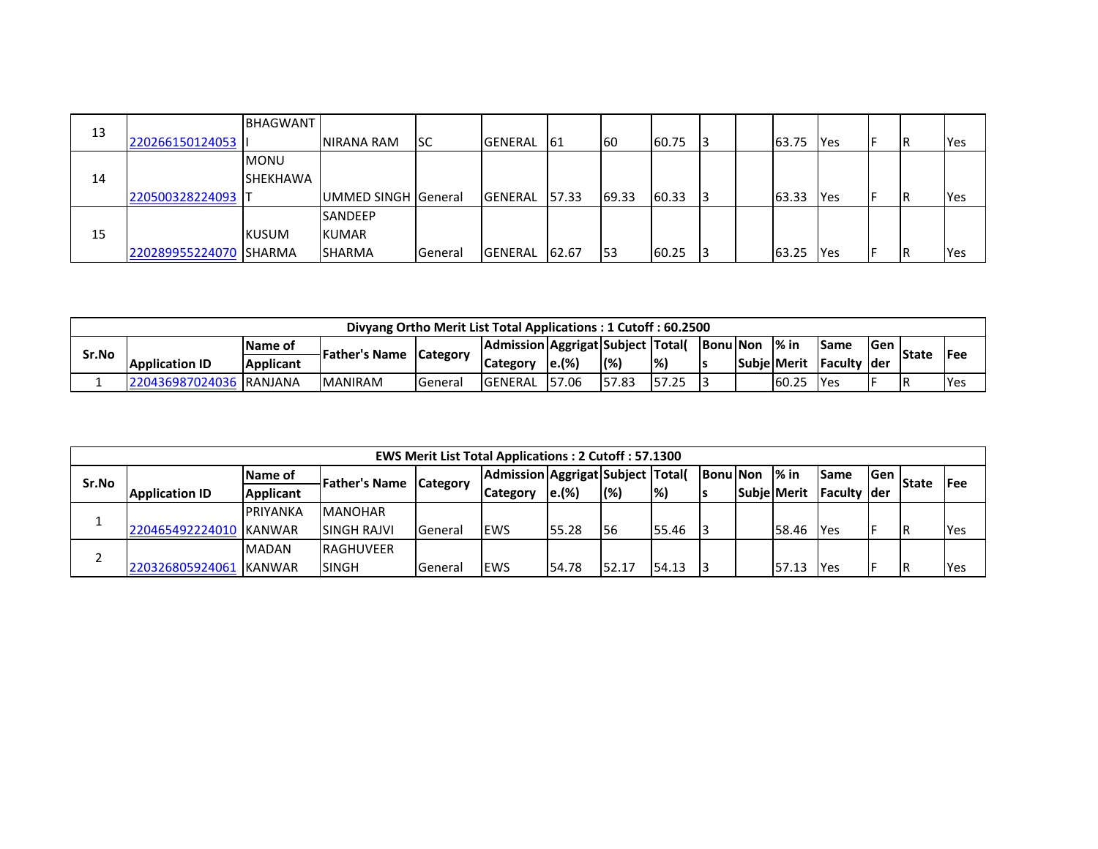|    |                   | <b>BHAGWANT</b> |                            |         |                 |        |       |       |  |       |              |    |     |
|----|-------------------|-----------------|----------------------------|---------|-----------------|--------|-------|-------|--|-------|--------------|----|-----|
| 13 | 220266150124053   |                 | NIRANA RAM                 | Isc     | <b>IGENERAL</b> | -161   | 160   | 60.75 |  | 63.75 | <b>P</b> Yes | IR | Yes |
|    |                   | <b>MONU</b>     |                            |         |                 |        |       |       |  |       |              |    |     |
| 14 |                   | <b>SHEKHAWA</b> |                            |         |                 |        |       |       |  |       |              |    |     |
|    | 220500328224093 T |                 | <b>UMMED SINGH General</b> |         | <b>IGENERAL</b> | 157.33 | 69.33 | 60.33 |  | 63.33 | <b>IYes</b>  | IR | Yes |
|    |                   |                 | <b>SANDEEP</b>             |         |                 |        |       |       |  |       |              |    |     |
| 15 |                   | <b>KUSUM</b>    | <b>KUMAR</b>               |         |                 |        |       |       |  |       |              |    |     |
|    | 220289955224070   | <b>ISHARMA</b>  | <b>SHARMA</b>              | General | <b>IGENERAL</b> | 62.67  | 153   | 60.25 |  | 63.25 | <b>P</b> Yes | IR | Yes |

|       |                          |                  | Divyang Ortho Merit List Total Applications: 1 Cutoff: 60.2500 |                  |                                          |                      |       |             |                 |                    |                      |            |       |            |
|-------|--------------------------|------------------|----------------------------------------------------------------|------------------|------------------------------------------|----------------------|-------|-------------|-----------------|--------------------|----------------------|------------|-------|------------|
|       |                          | <b>IName of</b>  |                                                                |                  | Admission   Aggrigat   Subject   Total ( |                      |       |             | <b>Bonu Non</b> | $\frac{9}{2}$ in   | <b>Same</b>          | <b>Gen</b> | State | l Fee      |
| Sr.No | <b>Application ID</b>    | <b>Applicant</b> | <b>Father's Name Category</b>                                  |                  | Category                                 | $\left e\right $ (%) | (%    | %)          |                 | <b>Subie Merit</b> | <b>IFaculty Ider</b> |            |       |            |
|       | 220436987024036 IRANJANA |                  | <b>MANIRAM</b>                                                 | <b>I</b> General | <b>IGENERAL</b>                          | 157.06               | 57.83 | 157<br>'.25 |                 | 60.25              | <b>IYes</b>          |            | ΙR    | <b>Yes</b> |

|       |                        |                  |                       |                 | <b>EWS Merit List Total Applications: 2 Cutoff: 57.1300</b> |       |             |                    |                 |                    |                    |      |              |             |
|-------|------------------------|------------------|-----------------------|-----------------|-------------------------------------------------------------|-------|-------------|--------------------|-----------------|--------------------|--------------------|------|--------------|-------------|
| Sr.No |                        | <b>Name of</b>   | <b>IFather's Name</b> |                 | Admission Aggrigat Subject  Total(                          |       |             |                    | <b>Bonu Non</b> | $\mathsf{I\%}$ in  | <b>Same</b>        | lGen | <b>State</b> | <b>IFee</b> |
|       | <b>Application ID</b>  | <b>Applicant</b> |                       | <b>Category</b> | <b>Category</b>                                             | e.(%) | (%)         | $\left  \%\right)$ |                 | <b>Subie Merit</b> | <b>Faculty der</b> |      |              |             |
|       |                        | <b>PRIYANKA</b>  | <b>MANOHAR</b>        |                 |                                                             |       |             |                    |                 |                    |                    |      |              |             |
|       | 220465492224010 KANWAR |                  | <b>SINGH RAJVI</b>    | <b>General</b>  | <b>IEWS</b>                                                 | 55.28 | <b>I</b> 56 | 55.46              | -13             | 58.46              | <b>IYes</b>        |      |              | <b>IYes</b> |
|       |                        | <b>MADAN</b>     | <b>IRAGHUVEER</b>     |                 |                                                             |       |             |                    |                 |                    |                    |      |              |             |
|       | 220326805924061        | <b>KANWAR</b>    | <b>SINGH</b>          | <b>General</b>  | <b>IEWS</b>                                                 | 54.78 | 52.17       | 54.13              |                 | 57.13              | <b>IYes</b>        |      | ΙR           | Yes         |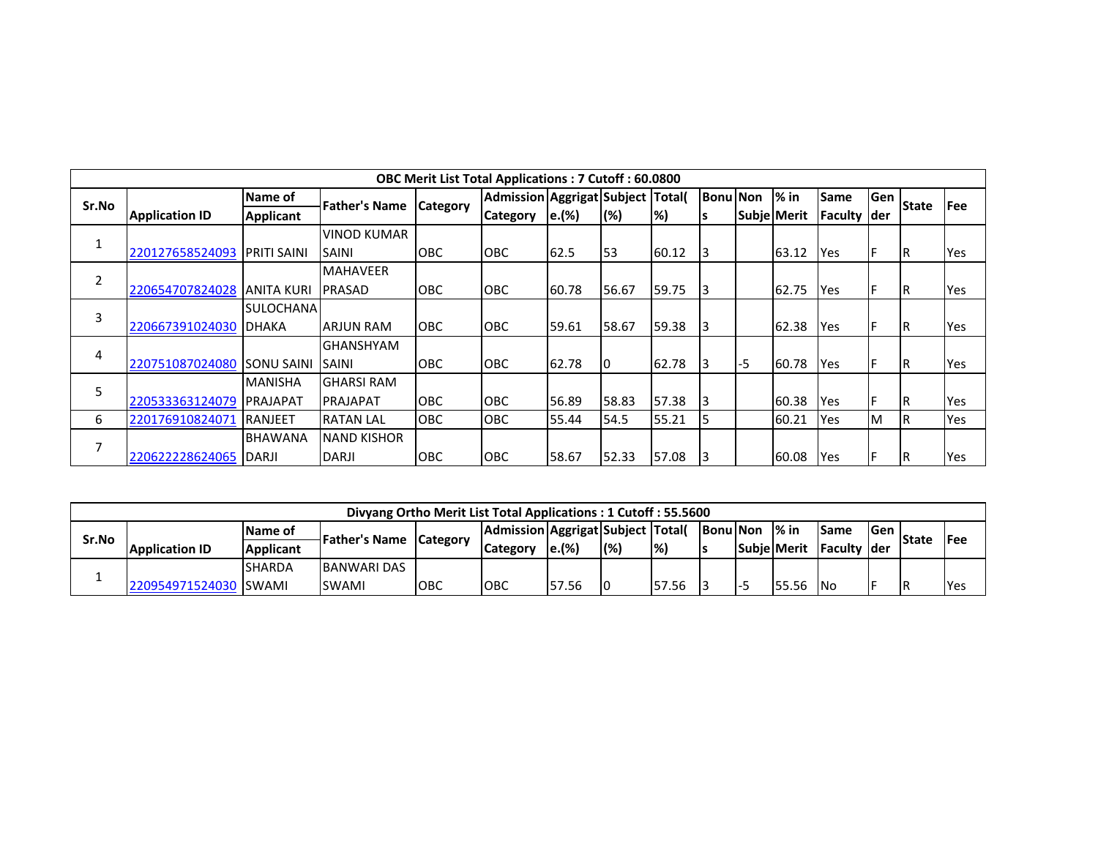|       |                       |                     |                    | <b>OBC Merit List Total Applications: 7 Cutoff: 60.0800</b> |                                   |       |       |       |                 |      |             |             |      |              |     |
|-------|-----------------------|---------------------|--------------------|-------------------------------------------------------------|-----------------------------------|-------|-------|-------|-----------------|------|-------------|-------------|------|--------------|-----|
| Sr.No |                       | Name of             |                    |                                                             | Admission Aggrigat Subject Total( |       |       |       | <b>Bonu</b> Non |      | $%$ in      | <b>Same</b> | Gen  |              | Fee |
|       | <b>Application ID</b> | <b>Applicant</b>    | Father's Name      | <b>Category</b>                                             | <b>Category</b>                   | e.(%) | (%)   | %)    |                 |      | Subje Merit | Faculty     | lder | <b>State</b> |     |
|       |                       |                     | <b>VINOD KUMAR</b> |                                                             |                                   |       |       |       |                 |      |             |             |      |              |     |
|       | 220127658524093       | <b>IPRITI SAINI</b> | SAINI              | <b>OBC</b>                                                  | <b>OBC</b>                        | 62.5  | 53    | 60.12 | I3              |      | 63.12       | <b>IYes</b> | F    | IR.          | Yes |
| 2     |                       |                     | <b>MAHAVEER</b>    |                                                             |                                   |       |       |       |                 |      |             |             |      |              |     |
|       | 220654707824028       | <b>JANITA KURI</b>  | <b>PRASAD</b>      | <b>OBC</b>                                                  | <b>OBC</b>                        | 60.78 | 56.67 | 59.75 | I3              |      | 62.75       | <b>IYes</b> | F    | IR.          | Yes |
| 3     |                       | SULOCHANAI          |                    |                                                             |                                   |       |       |       |                 |      |             |             |      |              |     |
|       | 220667391024030       | <b>DHAKA</b>        | <b>ARJUN RAM</b>   | <b>OBC</b>                                                  | <b>OBC</b>                        | 59.61 | 58.67 | 59.38 | 13.             |      | 62.38       | <b>IYes</b> |      | ΙR           | Yes |
|       |                       |                     | <b>GHANSHYAM</b>   |                                                             |                                   |       |       |       |                 |      |             |             |      |              |     |
| 4     | 220751087024080       | <b>SONU SAINI</b>   | <b>SAINI</b>       | <b>OBC</b>                                                  | OBC                               | 62.78 |       | 62.78 |                 | $-5$ | 60.78       | Yes         | F    | ΙR           | Yes |
| 5     |                       | <b>MANISHA</b>      | <b>GHARSI RAM</b>  |                                                             |                                   |       |       |       |                 |      |             |             |      |              |     |
|       | 220533363124079       | PRAJAPAT            | IPRAJAPAT          | <b>OBC</b>                                                  | <b>OBC</b>                        | 56.89 | 58.83 | 57.38 | I3              |      | 60.38       | Yes         | F    | IR           | Yes |
| 6     | 220176910824071       | <b>RANJEET</b>      | <b>RATAN LAL</b>   | <b>OBC</b>                                                  | <b>OBC</b>                        | 55.44 | 54.5  | 55.21 |                 |      | 60.21       | Yes         | ΙM   | <b>R</b>     | Yes |
|       |                       | <b>BHAWANA</b>      | <b>NAND KISHOR</b> |                                                             |                                   |       |       |       |                 |      |             |             |      |              |     |
|       | 220622228624065       | <b>IDARJI</b>       | DARJI              | <b>OBC</b>                                                  | <b>OBC</b>                        | 58.67 | 52.33 | 57.08 | l3              |      | 60.08       | Yes         | F    | IR.          | Yes |

|       |                       |                  | Divyang Ortho Merit List Total Applications: 1 Cutoff: 55.5600 |            |                                    |                   |     |                          |    |                |                    |                    |      |              |             |
|-------|-----------------------|------------------|----------------------------------------------------------------|------------|------------------------------------|-------------------|-----|--------------------------|----|----------------|--------------------|--------------------|------|--------------|-------------|
|       |                       | <b>Name of</b>   | <b>Father's Name Category</b>                                  |            | Admission Aggrigat Subject  Total( |                   |     |                          |    | BonulNon 1% in |                    | <b>ISame</b>       | lGen | <b>State</b> | <b>IFee</b> |
| Sr.No | <b>Application ID</b> | <b>Applicant</b> |                                                                |            | <b>Category</b>                    | $\mathbf{e}$ .(%) | (%) | $\left  \%\right\rangle$ | Is |                | <b>Subie Merit</b> | <b>Faculty der</b> |      |              |             |
|       |                       | <b>SHARDA</b>    | <b>BANWARI DAS</b>                                             |            |                                    |                   |     |                          |    |                |                    |                    |      |              |             |
|       | 220954971524030 SWAMI |                  | <b>SWAMI</b>                                                   | <b>OBC</b> | <b>OBC</b>                         | 57.56             |     | 57.56                    |    |                | 55.56              | -INo               |      |              | Yes         |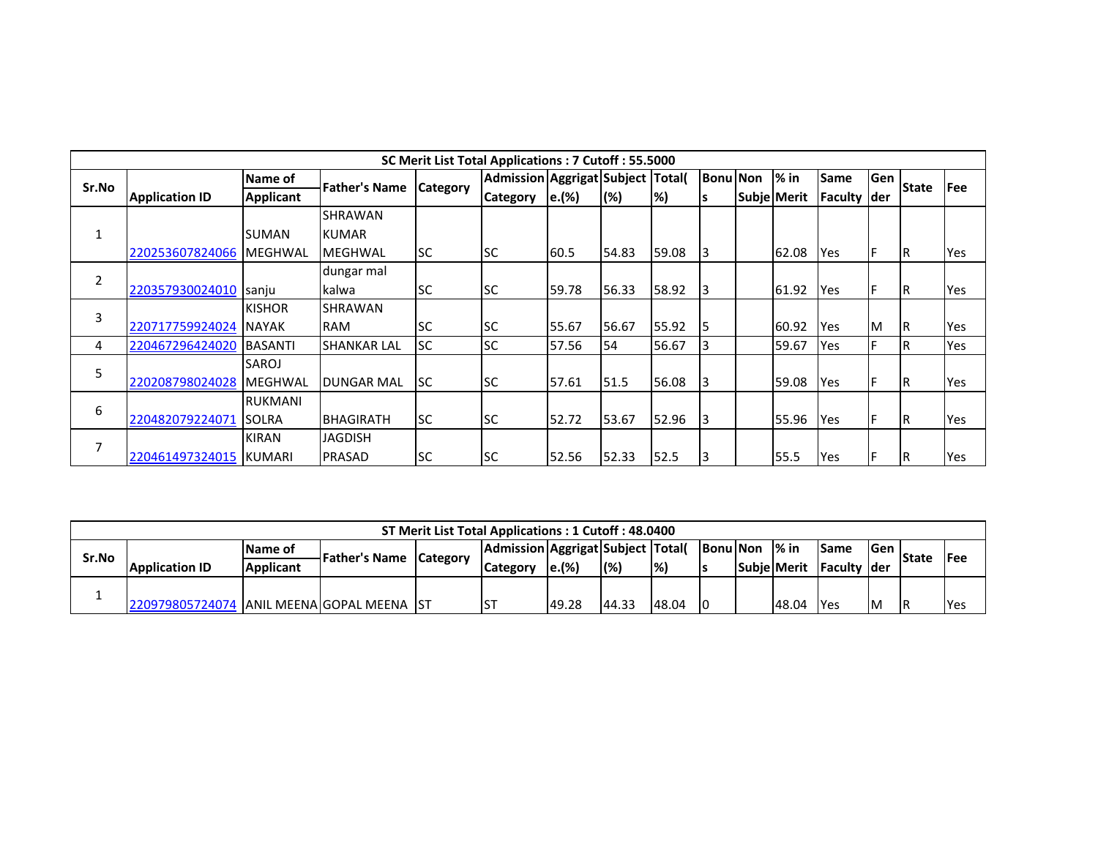|                |                       |                  |                    |                 | SC Merit List Total Applications: 7 Cutoff: 55.5000 |       |       |               |                 |             |            |      |              |      |
|----------------|-----------------------|------------------|--------------------|-----------------|-----------------------------------------------------|-------|-------|---------------|-----------------|-------------|------------|------|--------------|------|
| Sr.No          |                       | Name of          | Father's Name      |                 | Admission Aggrigat Subject Total(                   |       |       |               | <b>Bonu Non</b> | $%$ in      | Same       | Gen  | <b>State</b> | lFee |
|                | <b>Application ID</b> | <b>Applicant</b> |                    | <b>Category</b> | <b>Category</b>                                     | e.(%) | (%)   | $\frac{8}{3}$ |                 | Subje Merit | Faculty    | lder |              |      |
|                |                       |                  | <b>SHRAWAN</b>     |                 |                                                     |       |       |               |                 |             |            |      |              |      |
| 1              |                       | <b>SUMAN</b>     | <b>KUMAR</b>       |                 |                                                     |       |       |               |                 |             |            |      |              |      |
|                | 220253607824066       | <b>IMEGHWAL</b>  | <b>MEGHWAL</b>     | <b>SC</b>       | <b>SC</b>                                           | 60.5  | 54.83 | 59.08         | l3              | 62.08       | Yes        |      | IR           | Yes  |
|                |                       |                  | dungar mal         |                 |                                                     |       |       |               |                 |             |            |      |              |      |
| $\overline{2}$ | 220357930024010       | sanju            | kalwa              | <b>SC</b>       | <b>SC</b>                                           | 59.78 | 56.33 | 58.92         | 3               | 61.92       | Yes        |      | IR           | Yes  |
|                |                       | <b>KISHOR</b>    | <b>SHRAWAN</b>     |                 |                                                     |       |       |               |                 |             |            |      |              |      |
| 3              | 220717759924024       | <b>NAYAK</b>     | <b>RAM</b>         | lsc.            | <b>SC</b>                                           | 55.67 | 56.67 | 55.92         | 5               | 60.92       | Yes        | M    | IR           | Yes  |
| 4              | 220467296424020       | <b>BASANTI</b>   | <b>SHANKAR LAL</b> | <b>SC</b>       | <b>SC</b>                                           | 57.56 | 54    | 56.67         | 3               | 59.67       | Yes        |      | IR           | Yes  |
|                |                       | SAROJ            |                    |                 |                                                     |       |       |               |                 |             |            |      |              |      |
| 5              | 220208798024028       | <b>MEGHWAL</b>   | <b>DUNGAR MAL</b>  | lsc.            | <b>SC</b>                                           | 57.61 | 51.5  | 56.08         | 3               | 59.08       | <b>Yes</b> |      | IR           | Yes  |
|                |                       | <b>RUKMANI</b>   |                    |                 |                                                     |       |       |               |                 |             |            |      |              |      |
| 6              | 220482079224071 SOLRA |                  | BHAGIRATH          | <b>SC</b>       | <b>SC</b>                                           | 52.72 | 53.67 | 52.96         | I3              | 55.96       | Yes        |      | IR.          | Yes  |
|                |                       | <b>KIRAN</b>     | <b>JAGDISH</b>     |                 |                                                     |       |       |               |                 |             |            |      |              |      |
|                | 220461497324015       | KUMARI           | <b>PRASAD</b>      | <b>SC</b>       | lsc                                                 | 52.56 | 52.33 | 52.5          | l3              | 55.5        | Yes        |      | IR           | Yes  |

|       |                                             |                  |                        | ST Merit List Total Applications: 1 Cutoff: 48.0400 |                   |       |                 |     |                |                    |               |      |              |      |
|-------|---------------------------------------------|------------------|------------------------|-----------------------------------------------------|-------------------|-------|-----------------|-----|----------------|--------------------|---------------|------|--------------|------|
|       |                                             | <b>IName of</b>  | Father's Name Category | Admission Aggrigat Subject  Total(                  |                   |       |                 |     | BonulNon 1% in |                    | <b>ISame</b>  | lGen | <b>State</b> | lFee |
| Sr.No | <b>Application ID</b>                       | <b>Applicant</b> |                        | Category                                            | $\mathbf{e}$ .(%) | (%)   | $\mathcal{P}_6$ |     |                | <b>Subie Merit</b> | lFaculty Ider |      |              |      |
|       |                                             |                  |                        |                                                     |                   |       |                 |     |                |                    |               |      |              |      |
|       | 220979805724074 JANIL MEENAIGOPAL MEENA IST |                  |                        | <b>ST</b>                                           | 49.28             | 44.33 | 48.04           | -10 |                | 48.04              | <b>IYes</b>   | Iм   | <b>R</b>     | Yes  |